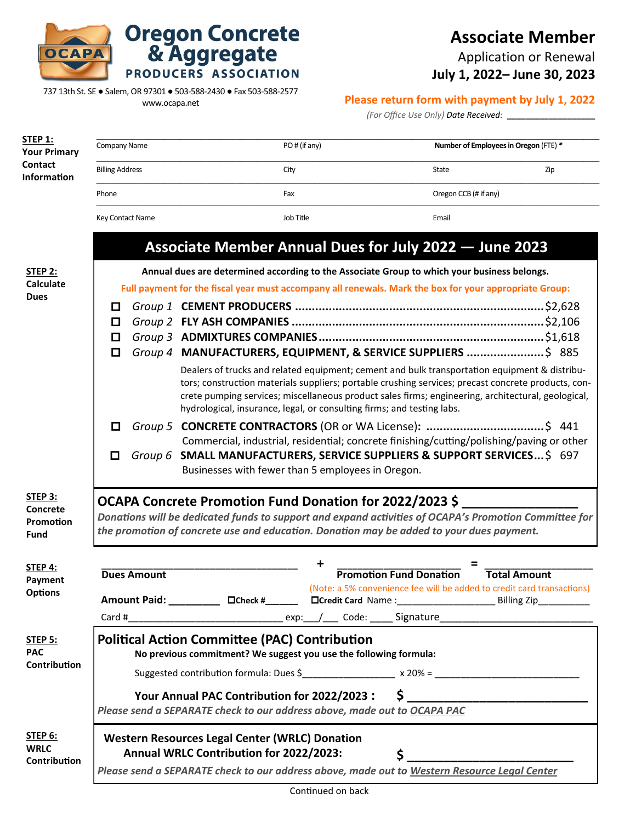

## **Associate Member**

Application or Renewal

**July 1, 2022– June 30, 2023**

737 13th St. SE ● Salem, OR 97301 ● 503-588-2430 ● Fax 503-588-2577

**Oregon Concrete<br>& Aggregate** 

PRODUCERS ASSOCIATION

www.ocapa.net

|  |  | Please return form with payment by July 1, 2022 |  |  |
|--|--|-------------------------------------------------|--|--|
|  |  |                                                 |  |  |

*(For Office Use Only) Date Received:* **\_\_\_\_\_\_\_\_\_\_\_\_\_\_\_\_\_\_\_** 

| STEP 1:<br><b>Your Primary</b> | Company Name                                                                                                                                                                                      | PO# (if any)                                                                                                                                                                 | Number of Employees in Oregon (FTE) *                                  |     |  |  |  |
|--------------------------------|---------------------------------------------------------------------------------------------------------------------------------------------------------------------------------------------------|------------------------------------------------------------------------------------------------------------------------------------------------------------------------------|------------------------------------------------------------------------|-----|--|--|--|
| Contact<br><b>Information</b>  | <b>Billing Address</b>                                                                                                                                                                            | City                                                                                                                                                                         | State                                                                  | Zip |  |  |  |
|                                | Phone                                                                                                                                                                                             | Fax                                                                                                                                                                          | Oregon CCB (# if any)                                                  |     |  |  |  |
|                                | Key Contact Name                                                                                                                                                                                  | Job Title                                                                                                                                                                    | Email                                                                  |     |  |  |  |
|                                |                                                                                                                                                                                                   | Associate Member Annual Dues for July 2022 - June 2023                                                                                                                       |                                                                        |     |  |  |  |
| <b>STEP 2:</b>                 | Annual dues are determined according to the Associate Group to which your business belongs.                                                                                                       |                                                                                                                                                                              |                                                                        |     |  |  |  |
| <b>Calculate</b>               | Full payment for the fiscal year must accompany all renewals. Mark the box for your appropriate Group:                                                                                            |                                                                                                                                                                              |                                                                        |     |  |  |  |
| <b>Dues</b>                    | □                                                                                                                                                                                                 |                                                                                                                                                                              |                                                                        |     |  |  |  |
|                                | ◻                                                                                                                                                                                                 |                                                                                                                                                                              |                                                                        |     |  |  |  |
|                                | ◘                                                                                                                                                                                                 |                                                                                                                                                                              |                                                                        |     |  |  |  |
|                                | ◻                                                                                                                                                                                                 | Group 4 MANUFACTURERS, EQUIPMENT, & SERVICE SUPPLIERS  \$ 885                                                                                                                |                                                                        |     |  |  |  |
|                                |                                                                                                                                                                                                   | Dealers of trucks and related equipment; cement and bulk transportation equipment & distribu-                                                                                |                                                                        |     |  |  |  |
|                                |                                                                                                                                                                                                   | tors; construction materials suppliers; portable crushing services; precast concrete products, con-                                                                          |                                                                        |     |  |  |  |
|                                |                                                                                                                                                                                                   | crete pumping services; miscellaneous product sales firms; engineering, architectural, geological,<br>hydrological, insurance, legal, or consulting firms; and testing labs. |                                                                        |     |  |  |  |
|                                | □                                                                                                                                                                                                 |                                                                                                                                                                              |                                                                        |     |  |  |  |
|                                |                                                                                                                                                                                                   |                                                                                                                                                                              |                                                                        |     |  |  |  |
|                                | Commercial, industrial, residential; concrete finishing/cutting/polishing/paving or other<br>Group 6 SMALL MANUFACTURERS, SERVICE SUPPLIERS & SUPPORT SERVICES\$ 697<br>0                         |                                                                                                                                                                              |                                                                        |     |  |  |  |
|                                |                                                                                                                                                                                                   | Businesses with fewer than 5 employees in Oregon.                                                                                                                            |                                                                        |     |  |  |  |
| STEP 3:                        | OCAPA Concrete Promotion Fund Donation for 2022/2023 \$                                                                                                                                           |                                                                                                                                                                              |                                                                        |     |  |  |  |
| <b>Concrete</b>                |                                                                                                                                                                                                   |                                                                                                                                                                              |                                                                        |     |  |  |  |
| Promotion                      | Donations will be dedicated funds to support and expand activities of OCAPA's Promotion Committee for<br>the promotion of concrete use and education. Donation may be added to your dues payment. |                                                                                                                                                                              |                                                                        |     |  |  |  |
| Fund                           |                                                                                                                                                                                                   |                                                                                                                                                                              |                                                                        |     |  |  |  |
| STEP 4:                        |                                                                                                                                                                                                   | +                                                                                                                                                                            | =                                                                      |     |  |  |  |
| Payment<br><b>Options</b>      | <b>Dues Amount</b>                                                                                                                                                                                |                                                                                                                                                                              | <b>Promotion Fund Donation</b><br><b>Total Amount</b>                  |     |  |  |  |
|                                |                                                                                                                                                                                                   | Amount Paid: ____________ DCheck #_______ DCredit Card Name : ___________________ Billing Zip___________                                                                     | (Note: a 5% convenience fee will be added to credit card transactions) |     |  |  |  |
|                                |                                                                                                                                                                                                   |                                                                                                                                                                              |                                                                        |     |  |  |  |
| <b>STEP 5:</b>                 | <b>Political Action Committee (PAC) Contribution</b>                                                                                                                                              |                                                                                                                                                                              |                                                                        |     |  |  |  |
| <b>PAC</b><br>Contribution     | No previous commitment? We suggest you use the following formula:                                                                                                                                 |                                                                                                                                                                              |                                                                        |     |  |  |  |
|                                |                                                                                                                                                                                                   |                                                                                                                                                                              |                                                                        |     |  |  |  |
|                                |                                                                                                                                                                                                   |                                                                                                                                                                              |                                                                        |     |  |  |  |
|                                | Your Annual PAC Contribution for 2022/2023 : \$ ________________________________                                                                                                                  |                                                                                                                                                                              |                                                                        |     |  |  |  |
|                                | Please send a SEPARATE check to our address above, made out to OCAPA PAC                                                                                                                          |                                                                                                                                                                              |                                                                        |     |  |  |  |
| <b>STEP 6:</b>                 |                                                                                                                                                                                                   | <b>Western Resources Legal Center (WRLC) Donation</b>                                                                                                                        |                                                                        |     |  |  |  |
| <b>WRLC</b>                    | Annual WRLC Contribution for 2022/2023:<br>\$.                                                                                                                                                    |                                                                                                                                                                              |                                                                        |     |  |  |  |
| Contribution                   |                                                                                                                                                                                                   | Please send a SEPARATE check to our address above, made out to Western Resource Legal Center                                                                                 |                                                                        |     |  |  |  |